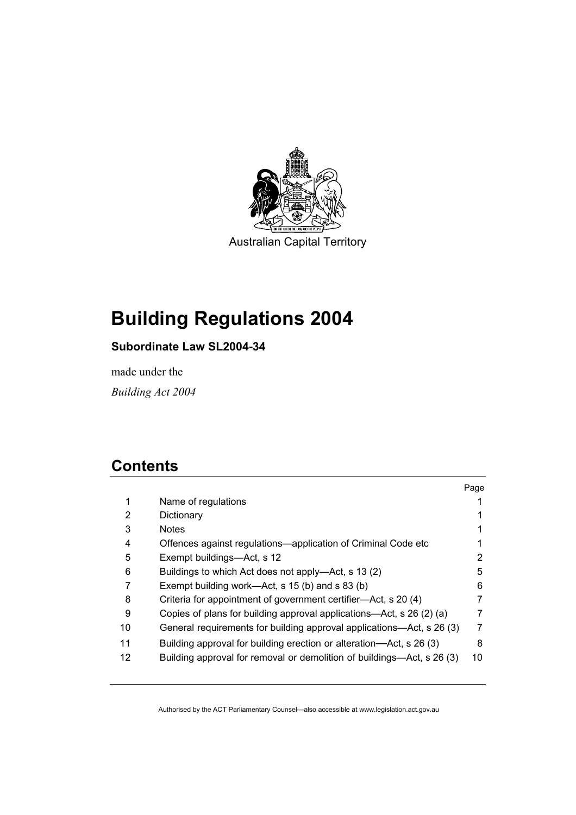

# **Building Regulations 2004**

## **Subordinate Law SL2004-34**

made under the

*Building Act 2004* 

## **Contents**

|    |                                                                        | Page |
|----|------------------------------------------------------------------------|------|
| 1  | Name of regulations                                                    |      |
| 2  | Dictionary                                                             |      |
| 3  | <b>Notes</b>                                                           |      |
| 4  | Offences against regulations-application of Criminal Code etc          |      |
| 5  | Exempt buildings-Act, s 12                                             | 2    |
| 6  | Buildings to which Act does not apply—Act, s 13 (2)                    | 5    |
| 7  | Exempt building work—Act, s 15 (b) and s 83 (b)                        | 6    |
| 8  | Criteria for appointment of government certifier—Act, s 20 (4)         |      |
| 9  | Copies of plans for building approval applications—Act, s 26 (2) (a)   |      |
| 10 | General requirements for building approval applications—Act, s 26 (3)  | 7    |
| 11 | Building approval for building erection or alteration—Act, s 26 (3)    | 8    |
| 12 | Building approval for removal or demolition of buildings—Act, s 26 (3) | 10   |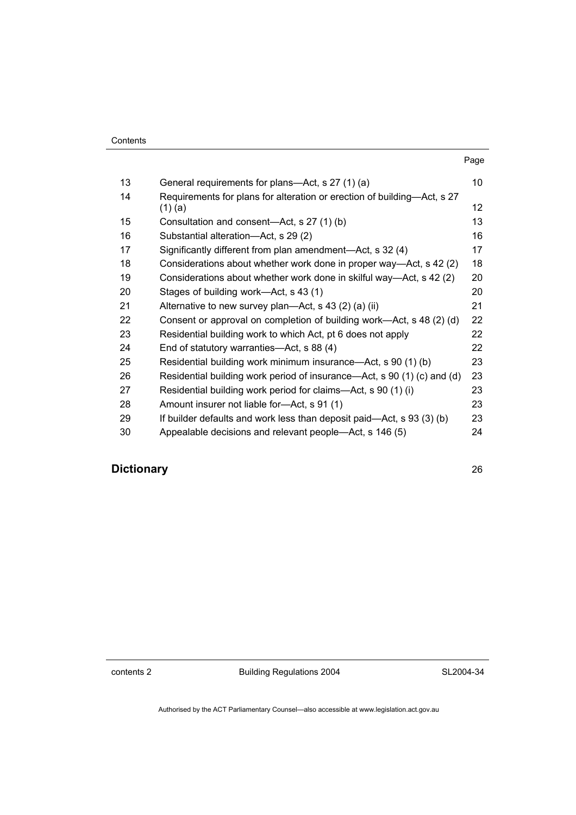|    |                                                                         | Page |
|----|-------------------------------------------------------------------------|------|
| 13 | General requirements for plans—Act, s 27 (1) (a)                        | 10   |
| 14 | Requirements for plans for alteration or erection of building-Act, s 27 |      |
|    | $(1)$ (a)                                                               | 12   |
| 15 | Consultation and consent-Act, s 27 (1) (b)                              | 13   |
| 16 | Substantial alteration—Act, s 29 (2)                                    | 16   |
| 17 | Significantly different from plan amendment—Act, s 32 (4)               | 17   |
| 18 | Considerations about whether work done in proper way—Act, s 42 (2)      | 18   |
| 19 | Considerations about whether work done in skilful way—Act, s 42 (2)     | 20   |
| 20 | Stages of building work—Act, s 43 (1)                                   | 20   |
| 21 | Alternative to new survey plan—Act, s 43 (2) (a) (ii)                   | 21   |
| 22 | Consent or approval on completion of building work—Act, s 48 (2) (d)    | 22   |
| 23 | Residential building work to which Act, pt 6 does not apply             | 22   |
| 24 | End of statutory warranties—Act, s 88 (4)                               | 22   |
| 25 | Residential building work minimum insurance—Act, s 90 (1) (b)           | 23   |
| 26 | Residential building work period of insurance—Act, s 90 (1) (c) and (d) | 23   |
| 27 | Residential building work period for claims—Act, s 90 (1) (i)           | 23   |
| 28 | Amount insurer not liable for-Act, s 91 (1)                             | 23   |
| 29 | If builder defaults and work less than deposit paid—Act, s 93 (3) (b)   | 23   |
| 30 | Appealable decisions and relevant people—Act, s 146 (5)                 | 24   |

## **Dictionary** 26

contents 2 Building Regulations 2004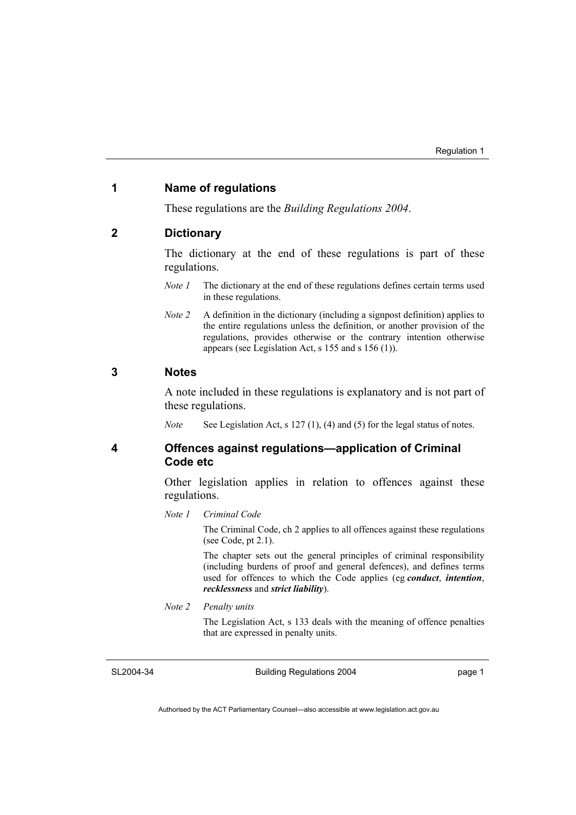#### **1 Name of regulations**

These regulations are the *Building Regulations 2004*.

#### **2 Dictionary**

The dictionary at the end of these regulations is part of these regulations.

- *Note 1* The dictionary at the end of these regulations defines certain terms used in these regulations.
- *Note 2* A definition in the dictionary (including a signpost definition) applies to the entire regulations unless the definition, or another provision of the regulations, provides otherwise or the contrary intention otherwise appears (see Legislation Act, s 155 and s 156 (1)).

#### **3 Notes**

A note included in these regulations is explanatory and is not part of these regulations.

*Note* See Legislation Act, s 127 (1), (4) and (5) for the legal status of notes.

**4 Offences against regulations—application of Criminal Code etc** 

> Other legislation applies in relation to offences against these regulations.

#### *Note 1 Criminal Code*

The Criminal Code, ch 2 applies to all offences against these regulations (see Code, pt 2.1).

The chapter sets out the general principles of criminal responsibility (including burdens of proof and general defences), and defines terms used for offences to which the Code applies (eg *conduct*, *intention*, *recklessness* and *strict liability*).

*Note 2 Penalty units* 

The Legislation Act, s 133 deals with the meaning of offence penalties that are expressed in penalty units.

SL2004-34

Building Regulations 2004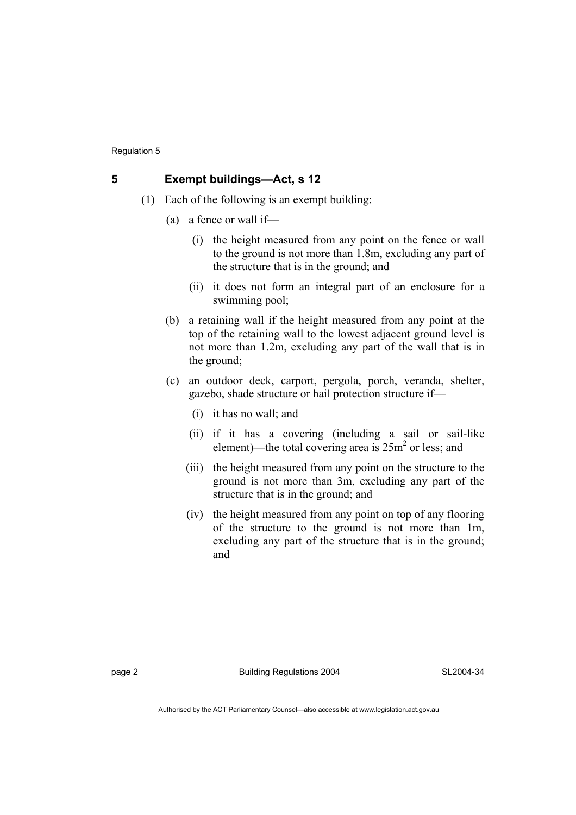#### **5 Exempt buildings—Act, s 12**

- (1) Each of the following is an exempt building:
	- (a) a fence or wall if—
		- (i) the height measured from any point on the fence or wall to the ground is not more than 1.8m, excluding any part of the structure that is in the ground; and
		- (ii) it does not form an integral part of an enclosure for a swimming pool;
	- (b) a retaining wall if the height measured from any point at the top of the retaining wall to the lowest adjacent ground level is not more than 1.2m, excluding any part of the wall that is in the ground;
	- (c) an outdoor deck, carport, pergola, porch, veranda, shelter, gazebo, shade structure or hail protection structure if—
		- (i) it has no wall; and
		- (ii) if it has a covering (including a sail or sail-like element)—the total covering area is  $25m^2$  or less; and
		- (iii) the height measured from any point on the structure to the ground is not more than 3m, excluding any part of the structure that is in the ground; and
		- (iv) the height measured from any point on top of any flooring of the structure to the ground is not more than 1m, excluding any part of the structure that is in the ground; and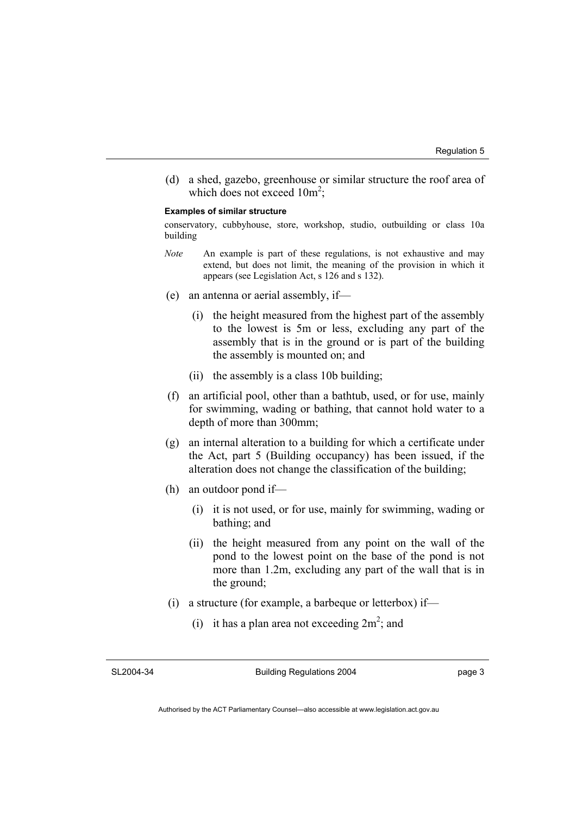(d) a shed, gazebo, greenhouse or similar structure the roof area of which does not exceed  $10m^2$ ;

#### **Examples of similar structure**

conservatory, cubbyhouse, store, workshop, studio, outbuilding or class 10a building

- *Note* An example is part of these regulations, is not exhaustive and may extend, but does not limit, the meaning of the provision in which it appears (see Legislation Act, s 126 and s 132).
- (e) an antenna or aerial assembly, if—
	- (i) the height measured from the highest part of the assembly to the lowest is 5m or less, excluding any part of the assembly that is in the ground or is part of the building the assembly is mounted on; and
	- (ii) the assembly is a class 10b building;
- (f) an artificial pool, other than a bathtub, used, or for use, mainly for swimming, wading or bathing, that cannot hold water to a depth of more than 300mm;
- (g) an internal alteration to a building for which a certificate under the Act, part 5 (Building occupancy) has been issued, if the alteration does not change the classification of the building;
- (h) an outdoor pond if—
	- (i) it is not used, or for use, mainly for swimming, wading or bathing; and
	- (ii) the height measured from any point on the wall of the pond to the lowest point on the base of the pond is not more than 1.2m, excluding any part of the wall that is in the ground;
- (i) a structure (for example, a barbeque or letterbox) if—
- (i) it has a plan area not exceeding  $2m^2$ ; and

SL2004-34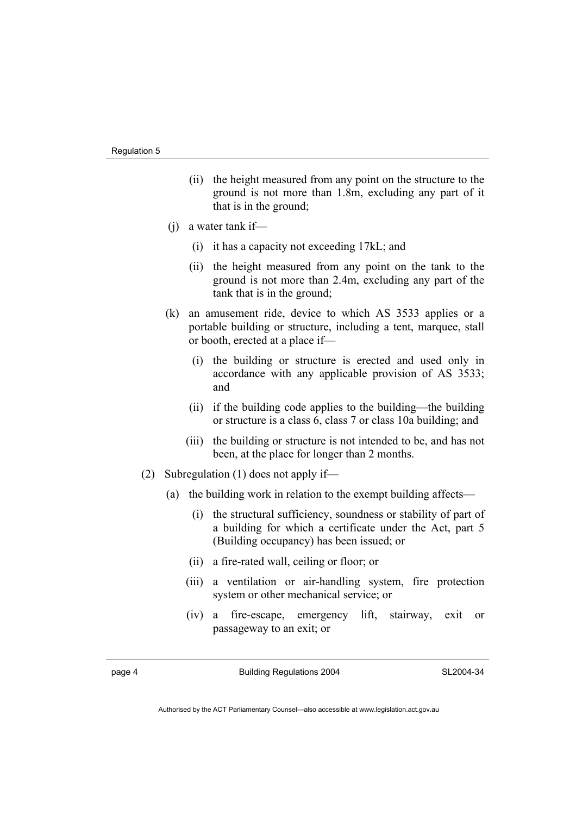- (ii) the height measured from any point on the structure to the ground is not more than 1.8m, excluding any part of it that is in the ground;
- (j) a water tank if—
	- (i) it has a capacity not exceeding 17kL; and
	- (ii) the height measured from any point on the tank to the ground is not more than 2.4m, excluding any part of the tank that is in the ground;
- (k) an amusement ride, device to which AS 3533 applies or a portable building or structure, including a tent, marquee, stall or booth, erected at a place if—
	- (i) the building or structure is erected and used only in accordance with any applicable provision of AS 3533; and
	- (ii) if the building code applies to the building—the building or structure is a class 6, class 7 or class 10a building; and
	- (iii) the building or structure is not intended to be, and has not been, at the place for longer than 2 months.
- (2) Subregulation (1) does not apply if—
	- (a) the building work in relation to the exempt building affects—
		- (i) the structural sufficiency, soundness or stability of part of a building for which a certificate under the Act, part 5 (Building occupancy) has been issued; or
		- (ii) a fire-rated wall, ceiling or floor; or
		- (iii) a ventilation or air-handling system, fire protection system or other mechanical service; or
		- (iv) a fire-escape, emergency lift, stairway, exit or passageway to an exit; or

page 4 Building Regulations 2004

SL2004-34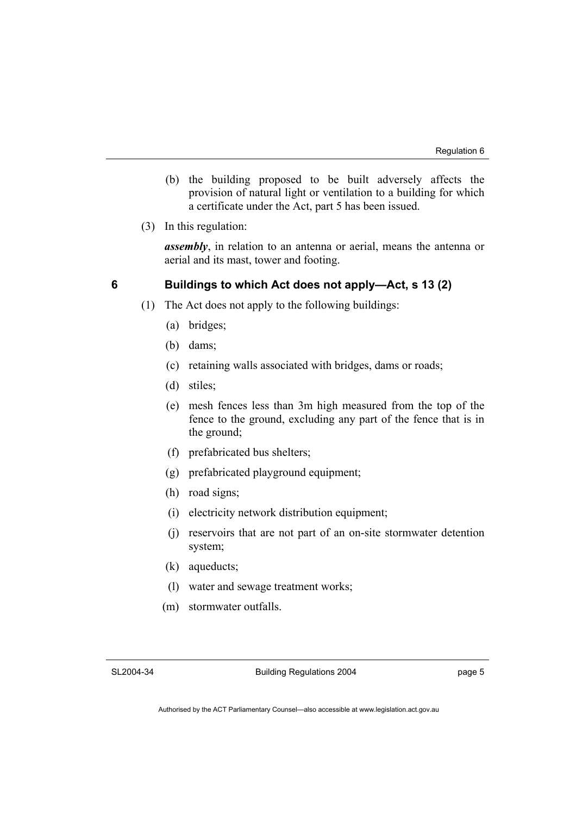- (b) the building proposed to be built adversely affects the provision of natural light or ventilation to a building for which a certificate under the Act, part 5 has been issued.
- (3) In this regulation:

*assembly*, in relation to an antenna or aerial, means the antenna or aerial and its mast, tower and footing.

#### **6 Buildings to which Act does not apply—Act, s 13 (2)**

- (1) The Act does not apply to the following buildings:
	- (a) bridges;
	- (b) dams;
	- (c) retaining walls associated with bridges, dams or roads;
	- (d) stiles;
	- (e) mesh fences less than 3m high measured from the top of the fence to the ground, excluding any part of the fence that is in the ground;
	- (f) prefabricated bus shelters;
	- (g) prefabricated playground equipment;
	- (h) road signs;
	- (i) electricity network distribution equipment;
	- (j) reservoirs that are not part of an on-site stormwater detention system;
	- (k) aqueducts;
	- (l) water and sewage treatment works;
	- (m) stormwater outfalls.

SL2004-34

Building Regulations 2004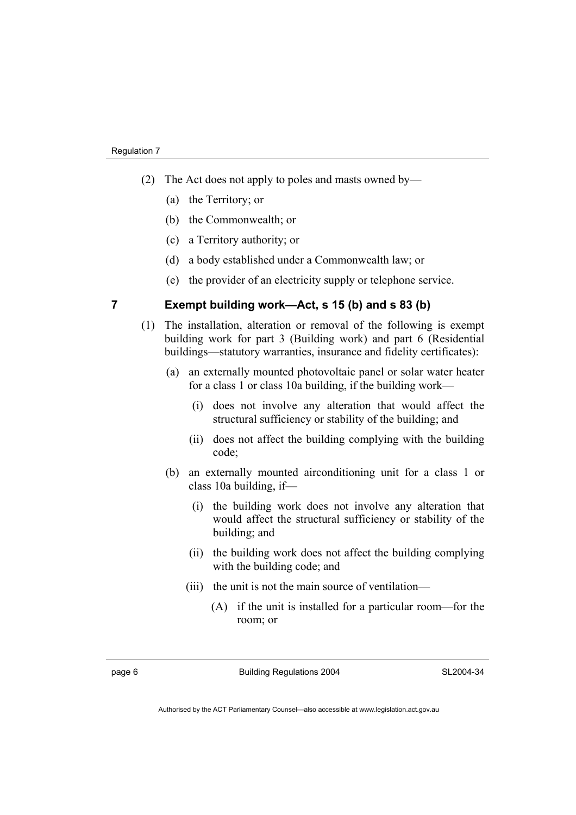- (2) The Act does not apply to poles and masts owned by—
	- (a) the Territory; or
	- (b) the Commonwealth; or
	- (c) a Territory authority; or
	- (d) a body established under a Commonwealth law; or
	- (e) the provider of an electricity supply or telephone service.

#### **7 Exempt building work—Act, s 15 (b) and s 83 (b)**

- (1) The installation, alteration or removal of the following is exempt building work for part 3 (Building work) and part 6 (Residential buildings—statutory warranties, insurance and fidelity certificates):
	- (a) an externally mounted photovoltaic panel or solar water heater for a class 1 or class 10a building, if the building work—
		- (i) does not involve any alteration that would affect the structural sufficiency or stability of the building; and
		- (ii) does not affect the building complying with the building code;
	- (b) an externally mounted airconditioning unit for a class 1 or class 10a building, if—
		- (i) the building work does not involve any alteration that would affect the structural sufficiency or stability of the building; and
		- (ii) the building work does not affect the building complying with the building code; and
		- (iii) the unit is not the main source of ventilation—
			- (A) if the unit is installed for a particular room—for the room; or

page 6 Building Regulations 2004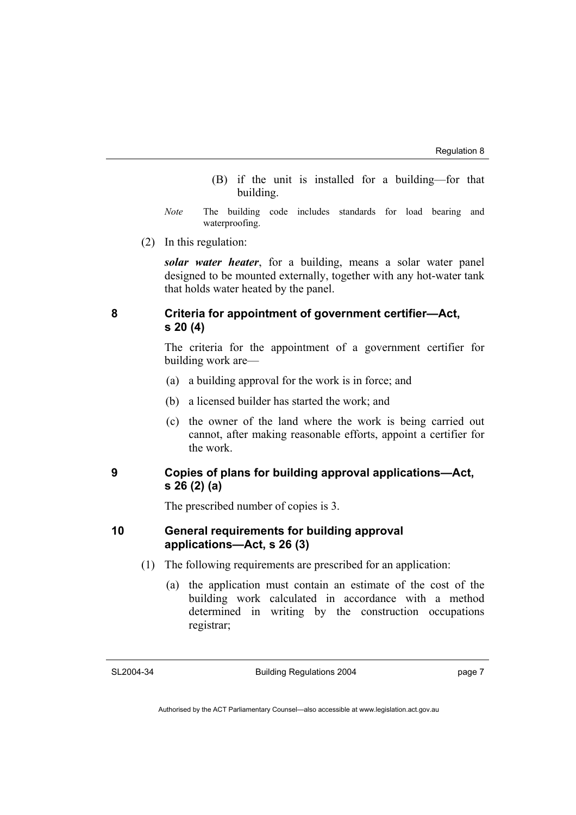- (B) if the unit is installed for a building—for that building.
- *Note* The building code includes standards for load bearing and waterproofing.
- (2) In this regulation:

*solar water heater*, for a building, means a solar water panel designed to be mounted externally, together with any hot-water tank that holds water heated by the panel.

#### **8 Criteria for appointment of government certifier—Act, s 20 (4)**

The criteria for the appointment of a government certifier for building work are—

- (a) a building approval for the work is in force; and
- (b) a licensed builder has started the work; and
- (c) the owner of the land where the work is being carried out cannot, after making reasonable efforts, appoint a certifier for the work.

#### **9 Copies of plans for building approval applications—Act, s 26 (2) (a)**

The prescribed number of copies is 3.

#### **10 General requirements for building approval applications—Act, s 26 (3)**

- (1) The following requirements are prescribed for an application:
	- (a) the application must contain an estimate of the cost of the building work calculated in accordance with a method determined in writing by the construction occupations registrar;

SL2004-34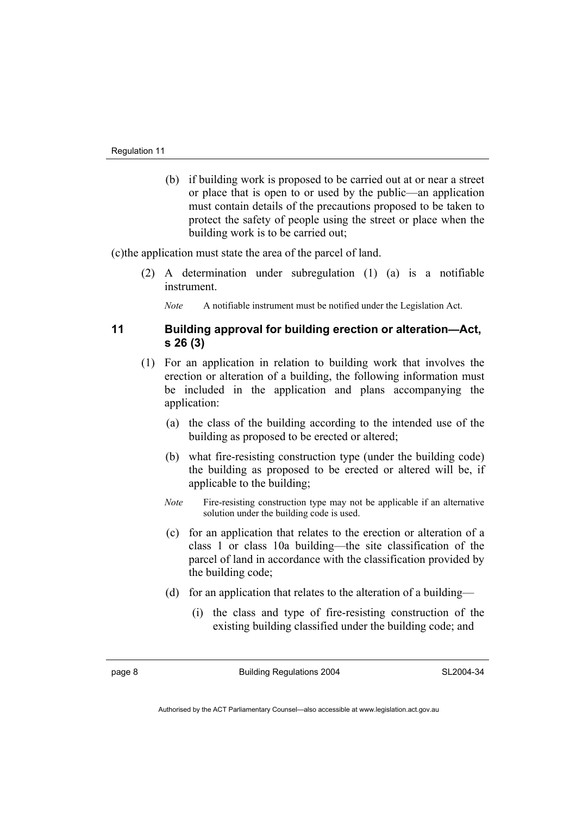(b) if building work is proposed to be carried out at or near a street or place that is open to or used by the public—an application must contain details of the precautions proposed to be taken to protect the safety of people using the street or place when the building work is to be carried out;

(c)the application must state the area of the parcel of land.

 (2) A determination under subregulation (1) (a) is a notifiable instrument.

*Note* A notifiable instrument must be notified under the Legislation Act.

#### **11 Building approval for building erection or alteration—Act, s 26 (3)**

- (1) For an application in relation to building work that involves the erection or alteration of a building, the following information must be included in the application and plans accompanying the application:
	- (a) the class of the building according to the intended use of the building as proposed to be erected or altered;
	- (b) what fire-resisting construction type (under the building code) the building as proposed to be erected or altered will be, if applicable to the building;
	- *Note* Fire-resisting construction type may not be applicable if an alternative solution under the building code is used.
	- (c) for an application that relates to the erection or alteration of a class 1 or class 10a building—the site classification of the parcel of land in accordance with the classification provided by the building code;
	- (d) for an application that relates to the alteration of a building—
		- (i) the class and type of fire-resisting construction of the existing building classified under the building code; and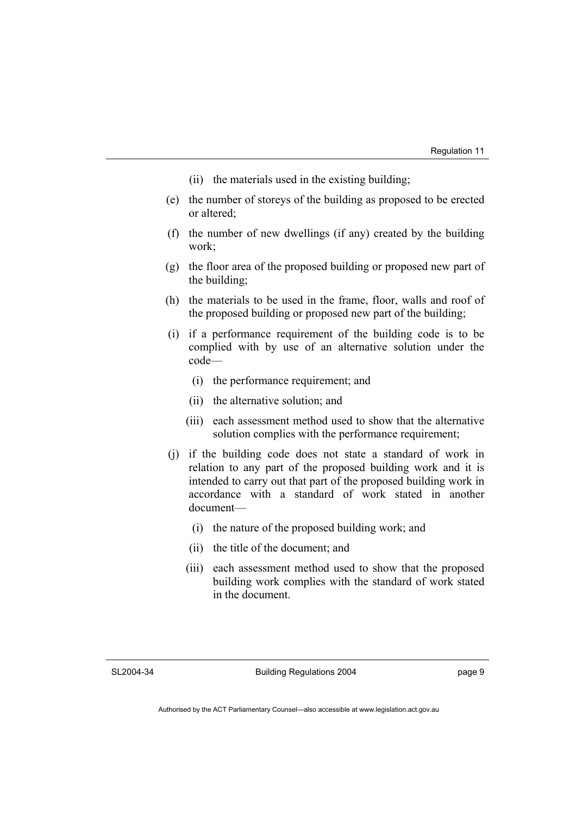- (ii) the materials used in the existing building;
- (e) the number of storeys of the building as proposed to be erected or altered;
- (f) the number of new dwellings (if any) created by the building work;
- (g) the floor area of the proposed building or proposed new part of the building;
- (h) the materials to be used in the frame, floor, walls and roof of the proposed building or proposed new part of the building;
- (i) if a performance requirement of the building code is to be complied with by use of an alternative solution under the code—
	- (i) the performance requirement; and
	- (ii) the alternative solution; and
	- (iii) each assessment method used to show that the alternative solution complies with the performance requirement;
- (j) if the building code does not state a standard of work in relation to any part of the proposed building work and it is intended to carry out that part of the proposed building work in accordance with a standard of work stated in another document—
	- (i) the nature of the proposed building work; and
	- (ii) the title of the document; and
	- (iii) each assessment method used to show that the proposed building work complies with the standard of work stated in the document.

SL2004-34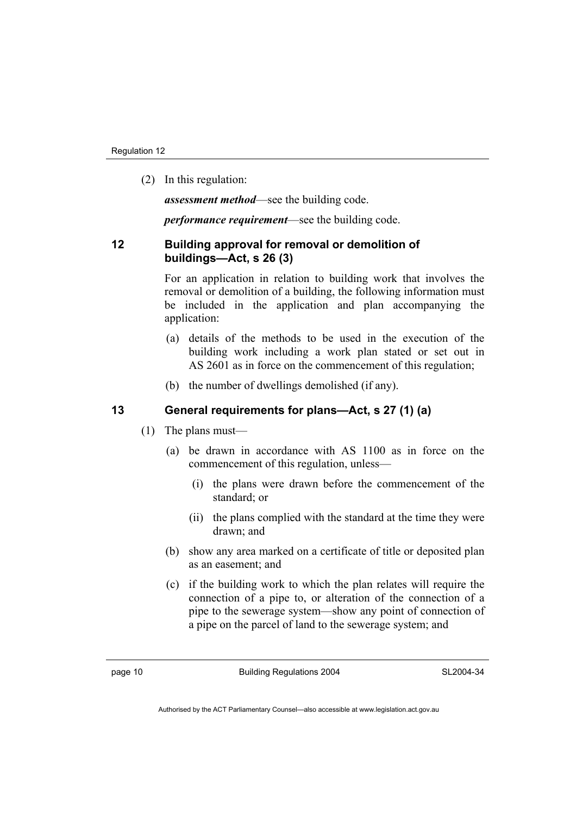(2) In this regulation:

*assessment method*—see the building code.

*performance requirement*—see the building code.

#### **12 Building approval for removal or demolition of buildings—Act, s 26 (3)**

For an application in relation to building work that involves the removal or demolition of a building, the following information must be included in the application and plan accompanying the application:

- (a) details of the methods to be used in the execution of the building work including a work plan stated or set out in AS 2601 as in force on the commencement of this regulation;
- (b) the number of dwellings demolished (if any).

#### **13 General requirements for plans—Act, s 27 (1) (a)**

- (1) The plans must—
	- (a) be drawn in accordance with AS 1100 as in force on the commencement of this regulation, unless—
		- (i) the plans were drawn before the commencement of the standard; or
		- (ii) the plans complied with the standard at the time they were drawn; and
	- (b) show any area marked on a certificate of title or deposited plan as an easement; and
	- (c) if the building work to which the plan relates will require the connection of a pipe to, or alteration of the connection of a pipe to the sewerage system—show any point of connection of a pipe on the parcel of land to the sewerage system; and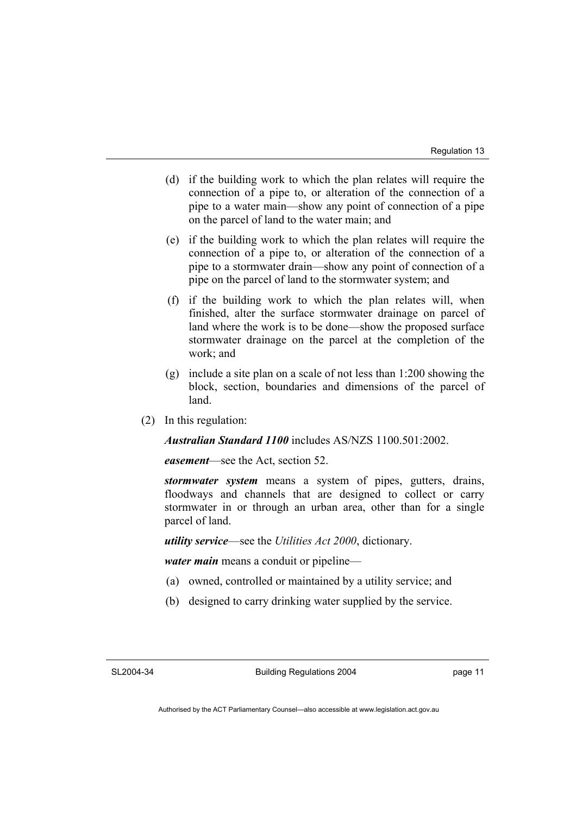- (d) if the building work to which the plan relates will require the connection of a pipe to, or alteration of the connection of a pipe to a water main—show any point of connection of a pipe on the parcel of land to the water main; and
- (e) if the building work to which the plan relates will require the connection of a pipe to, or alteration of the connection of a pipe to a stormwater drain—show any point of connection of a pipe on the parcel of land to the stormwater system; and
- (f) if the building work to which the plan relates will, when finished, alter the surface stormwater drainage on parcel of land where the work is to be done—show the proposed surface stormwater drainage on the parcel at the completion of the work; and
- (g) include a site plan on a scale of not less than 1:200 showing the block, section, boundaries and dimensions of the parcel of land.
- (2) In this regulation:

*Australian Standard 1100* includes AS/NZS 1100.501:2002.

*easement*—see the Act, section 52.

*stormwater system* means a system of pipes, gutters, drains, floodways and channels that are designed to collect or carry stormwater in or through an urban area, other than for a single parcel of land.

*utility service*—see the *Utilities Act 2000*, dictionary.

*water main* means a conduit or pipeline—

- (a) owned, controlled or maintained by a utility service; and
- (b) designed to carry drinking water supplied by the service.

Building Regulations 2004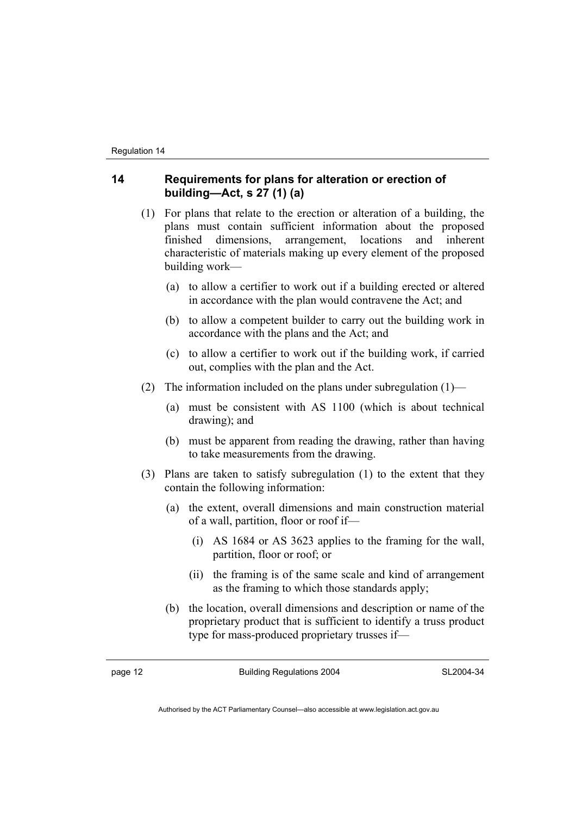#### **14 Requirements for plans for alteration or erection of building—Act, s 27 (1) (a)**

- (1) For plans that relate to the erection or alteration of a building, the plans must contain sufficient information about the proposed finished dimensions, arrangement, locations and inherent characteristic of materials making up every element of the proposed building work—
	- (a) to allow a certifier to work out if a building erected or altered in accordance with the plan would contravene the Act; and
	- (b) to allow a competent builder to carry out the building work in accordance with the plans and the Act; and
	- (c) to allow a certifier to work out if the building work, if carried out, complies with the plan and the Act.
- (2) The information included on the plans under subregulation  $(1)$ 
	- (a) must be consistent with AS 1100 (which is about technical drawing); and
	- (b) must be apparent from reading the drawing, rather than having to take measurements from the drawing.
- (3) Plans are taken to satisfy subregulation (1) to the extent that they contain the following information:
	- (a) the extent, overall dimensions and main construction material of a wall, partition, floor or roof if—
		- (i) AS 1684 or AS 3623 applies to the framing for the wall, partition, floor or roof; or
		- (ii) the framing is of the same scale and kind of arrangement as the framing to which those standards apply;
	- (b) the location, overall dimensions and description or name of the proprietary product that is sufficient to identify a truss product type for mass-produced proprietary trusses if—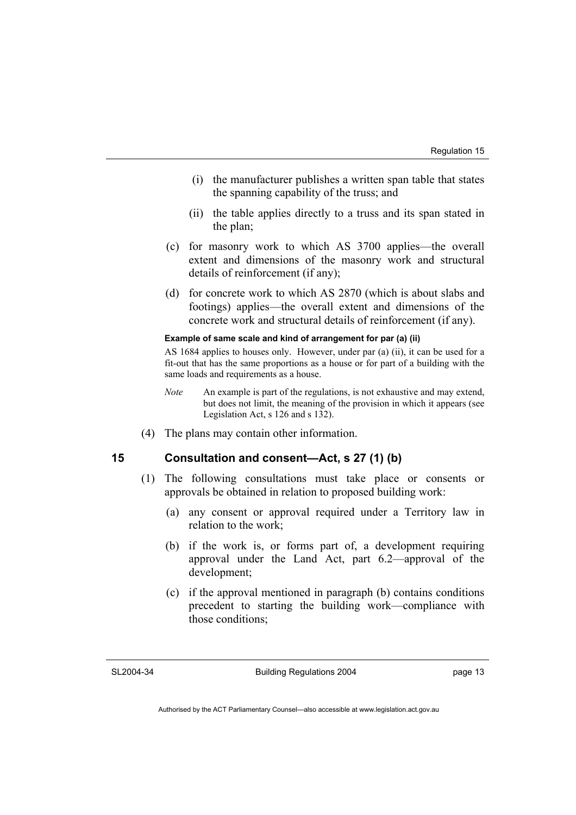- (i) the manufacturer publishes a written span table that states the spanning capability of the truss; and
- (ii) the table applies directly to a truss and its span stated in the plan;
- (c) for masonry work to which AS 3700 applies—the overall extent and dimensions of the masonry work and structural details of reinforcement (if any);
- (d) for concrete work to which AS 2870 (which is about slabs and footings) applies—the overall extent and dimensions of the concrete work and structural details of reinforcement (if any).

#### **Example of same scale and kind of arrangement for par (a) (ii)**

AS 1684 applies to houses only. However, under par (a) (ii), it can be used for a fit-out that has the same proportions as a house or for part of a building with the same loads and requirements as a house.

- *Note* An example is part of the regulations, is not exhaustive and may extend, but does not limit, the meaning of the provision in which it appears (see Legislation Act, s 126 and s 132).
- (4) The plans may contain other information.

#### **15 Consultation and consent—Act, s 27 (1) (b)**

- (1) The following consultations must take place or consents or approvals be obtained in relation to proposed building work:
	- (a) any consent or approval required under a Territory law in relation to the work;
	- (b) if the work is, or forms part of, a development requiring approval under the Land Act, part 6.2—approval of the development;
	- (c) if the approval mentioned in paragraph (b) contains conditions precedent to starting the building work—compliance with those conditions;

#### SL2004-34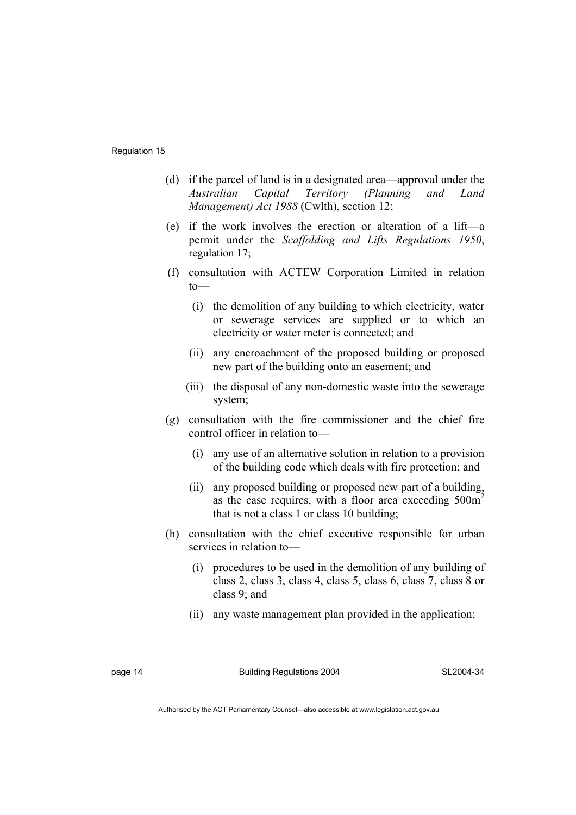- (d) if the parcel of land is in a designated area—approval under the *Australian Capital Territory (Planning and Land Management) Act 1988* (Cwlth), section 12;
- (e) if the work involves the erection or alteration of a lift—a permit under the *Scaffolding and Lifts Regulations 1950*, regulation 17;
- (f) consultation with ACTEW Corporation Limited in relation  $to$ —
	- (i) the demolition of any building to which electricity, water or sewerage services are supplied or to which an electricity or water meter is connected; and
	- (ii) any encroachment of the proposed building or proposed new part of the building onto an easement; and
	- (iii) the disposal of any non-domestic waste into the sewerage system;
- (g) consultation with the fire commissioner and the chief fire control officer in relation to—
	- (i) any use of an alternative solution in relation to a provision of the building code which deals with fire protection; and
	- (ii) any proposed building or proposed new part of a building, as the case requires, with a floor area exceeding  $500m<sup>2</sup>$ that is not a class 1 or class 10 building;
- (h) consultation with the chief executive responsible for urban services in relation to—
	- (i) procedures to be used in the demolition of any building of class 2, class 3, class 4, class 5, class 6, class 7, class 8 or class 9; and
	- (ii) any waste management plan provided in the application;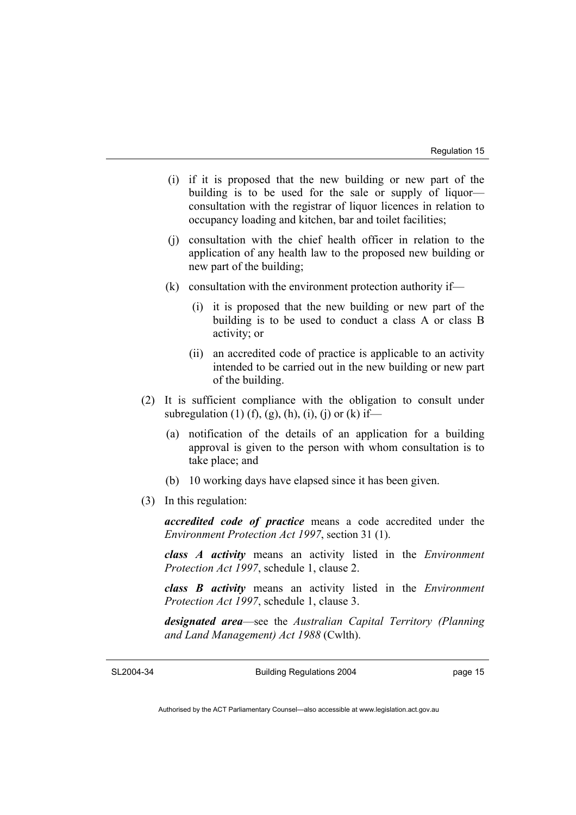- (i) if it is proposed that the new building or new part of the building is to be used for the sale or supply of liquor consultation with the registrar of liquor licences in relation to occupancy loading and kitchen, bar and toilet facilities;
- (j) consultation with the chief health officer in relation to the application of any health law to the proposed new building or new part of the building;
- (k) consultation with the environment protection authority if—
	- (i) it is proposed that the new building or new part of the building is to be used to conduct a class A or class B activity; or
	- (ii) an accredited code of practice is applicable to an activity intended to be carried out in the new building or new part of the building.
- (2) It is sufficient compliance with the obligation to consult under subregulation (1) (f), (g), (h), (i), (j) or (k) if—
	- (a) notification of the details of an application for a building approval is given to the person with whom consultation is to take place; and
	- (b) 10 working days have elapsed since it has been given.
- (3) In this regulation:

*accredited code of practice* means a code accredited under the *Environment Protection Act 1997*, section 31 (1).

*class A activity* means an activity listed in the *Environment Protection Act 1997*, schedule 1, clause 2.

*class B activity* means an activity listed in the *Environment Protection Act 1997*, schedule 1, clause 3.

*designated area*—see the *Australian Capital Territory (Planning and Land Management) Act 1988* (Cwlth).

SL2004-34

Building Regulations 2004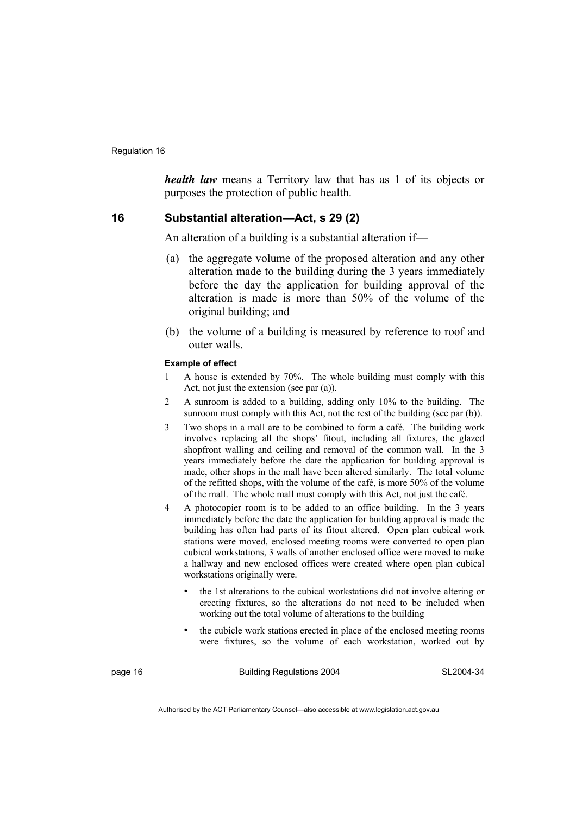*health law* means a Territory law that has as 1 of its objects or purposes the protection of public health.

#### **16 Substantial alteration—Act, s 29 (2)**

An alteration of a building is a substantial alteration if—

- (a) the aggregate volume of the proposed alteration and any other alteration made to the building during the 3 years immediately before the day the application for building approval of the alteration is made is more than 50% of the volume of the original building; and
- (b) the volume of a building is measured by reference to roof and outer walls.

#### **Example of effect**

- 1 A house is extended by 70%. The whole building must comply with this Act, not just the extension (see par (a)).
- 2 A sunroom is added to a building, adding only 10% to the building. The sunroom must comply with this Act, not the rest of the building (see par (b)).
- 3 Two shops in a mall are to be combined to form a café. The building work involves replacing all the shops' fitout, including all fixtures, the glazed shopfront walling and ceiling and removal of the common wall. In the 3 years immediately before the date the application for building approval is made, other shops in the mall have been altered similarly. The total volume of the refitted shops, with the volume of the café, is more 50% of the volume of the mall. The whole mall must comply with this Act, not just the café.
- 4 A photocopier room is to be added to an office building. In the 3 years immediately before the date the application for building approval is made the building has often had parts of its fitout altered. Open plan cubical work stations were moved, enclosed meeting rooms were converted to open plan cubical workstations, 3 walls of another enclosed office were moved to make a hallway and new enclosed offices were created where open plan cubical workstations originally were.
	- the 1st alterations to the cubical workstations did not involve altering or erecting fixtures, so the alterations do not need to be included when working out the total volume of alterations to the building
	- the cubicle work stations erected in place of the enclosed meeting rooms were fixtures, so the volume of each workstation, worked out by

page 16 **Building Regulations 2004** 

SL2004-34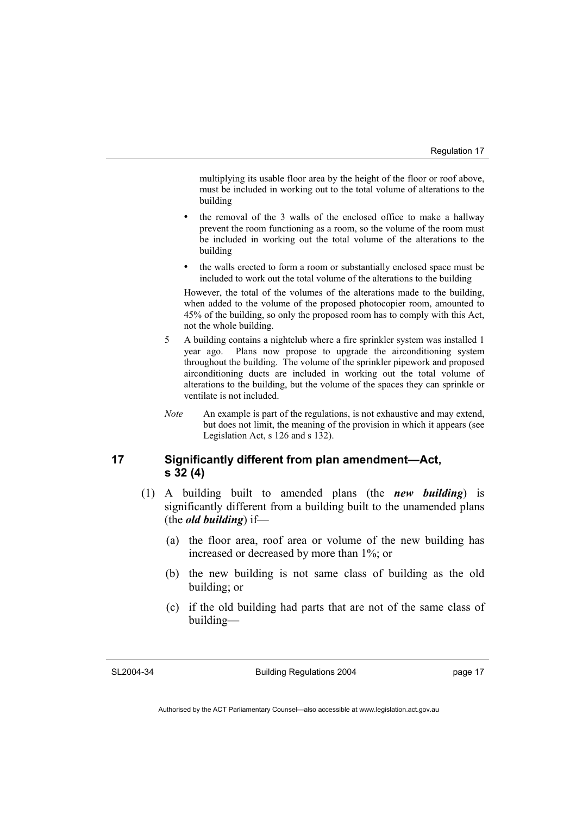multiplying its usable floor area by the height of the floor or roof above, must be included in working out to the total volume of alterations to the building

- the removal of the 3 walls of the enclosed office to make a hallway prevent the room functioning as a room, so the volume of the room must be included in working out the total volume of the alterations to the building
- the walls erected to form a room or substantially enclosed space must be included to work out the total volume of the alterations to the building

However, the total of the volumes of the alterations made to the building, when added to the volume of the proposed photocopier room, amounted to 45% of the building, so only the proposed room has to comply with this Act, not the whole building.

- 5 A building contains a nightclub where a fire sprinkler system was installed 1 year ago. Plans now propose to upgrade the airconditioning system throughout the building. The volume of the sprinkler pipework and proposed airconditioning ducts are included in working out the total volume of alterations to the building, but the volume of the spaces they can sprinkle or ventilate is not included.
- *Note* An example is part of the regulations, is not exhaustive and may extend, but does not limit, the meaning of the provision in which it appears (see Legislation Act, s 126 and s 132).

#### **17 Significantly different from plan amendment—Act, s 32 (4)**

- (1) A building built to amended plans (the *new building*) is significantly different from a building built to the unamended plans (the *old building*) if—
	- (a) the floor area, roof area or volume of the new building has increased or decreased by more than 1%; or
	- (b) the new building is not same class of building as the old building; or
	- (c) if the old building had parts that are not of the same class of building—

#### SL2004-34

Building Regulations 2004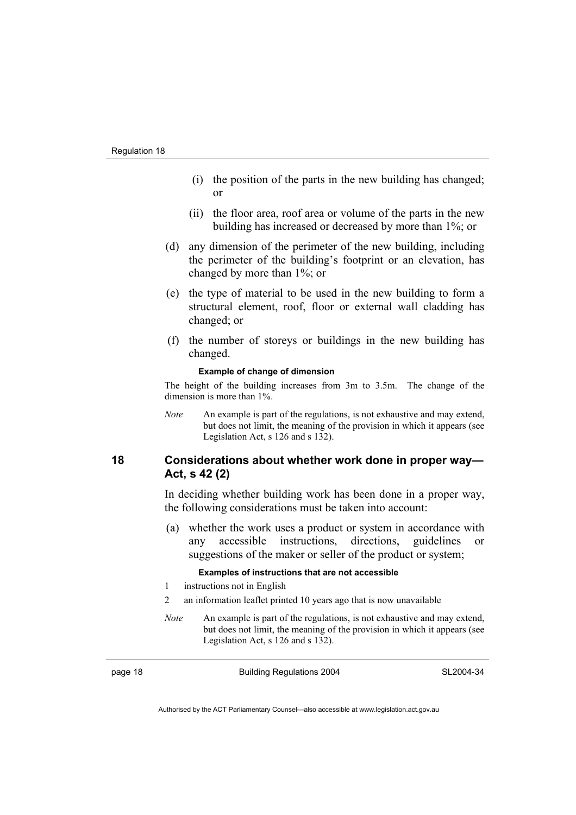- (i) the position of the parts in the new building has changed; or
- (ii) the floor area, roof area or volume of the parts in the new building has increased or decreased by more than 1%; or
- (d) any dimension of the perimeter of the new building, including the perimeter of the building's footprint or an elevation, has changed by more than 1%; or
- (e) the type of material to be used in the new building to form a structural element, roof, floor or external wall cladding has changed; or
- (f) the number of storeys or buildings in the new building has changed.

#### **Example of change of dimension**

The height of the building increases from 3m to 3.5m. The change of the dimension is more than 1%.

*Note* An example is part of the regulations, is not exhaustive and may extend, but does not limit, the meaning of the provision in which it appears (see Legislation Act, s 126 and s 132).

#### **18 Considerations about whether work done in proper way— Act, s 42 (2)**

In deciding whether building work has been done in a proper way, the following considerations must be taken into account:

 (a) whether the work uses a product or system in accordance with any accessible instructions, directions, guidelines or suggestions of the maker or seller of the product or system;

#### **Examples of instructions that are not accessible**

- 1 instructions not in English
- 2 an information leaflet printed 10 years ago that is now unavailable
- *Note* An example is part of the regulations, is not exhaustive and may extend, but does not limit, the meaning of the provision in which it appears (see Legislation Act, s 126 and s 132).

page 18 **Building Regulations** 2004

SL2004-34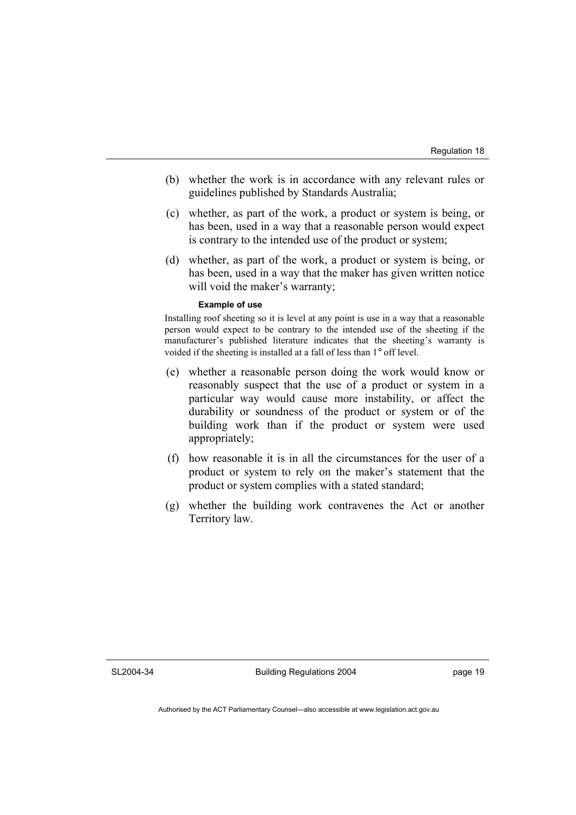- (b) whether the work is in accordance with any relevant rules or guidelines published by Standards Australia;
- (c) whether, as part of the work, a product or system is being, or has been, used in a way that a reasonable person would expect is contrary to the intended use of the product or system;
- (d) whether, as part of the work, a product or system is being, or has been, used in a way that the maker has given written notice will void the maker's warranty;

#### **Example of use**

Installing roof sheeting so it is level at any point is use in a way that a reasonable person would expect to be contrary to the intended use of the sheeting if the manufacturer's published literature indicates that the sheeting's warranty is voided if the sheeting is installed at a fall of less than 1° off level.

- (e) whether a reasonable person doing the work would know or reasonably suspect that the use of a product or system in a particular way would cause more instability, or affect the durability or soundness of the product or system or of the building work than if the product or system were used appropriately;
- (f) how reasonable it is in all the circumstances for the user of a product or system to rely on the maker's statement that the product or system complies with a stated standard;
- (g) whether the building work contravenes the Act or another Territory law.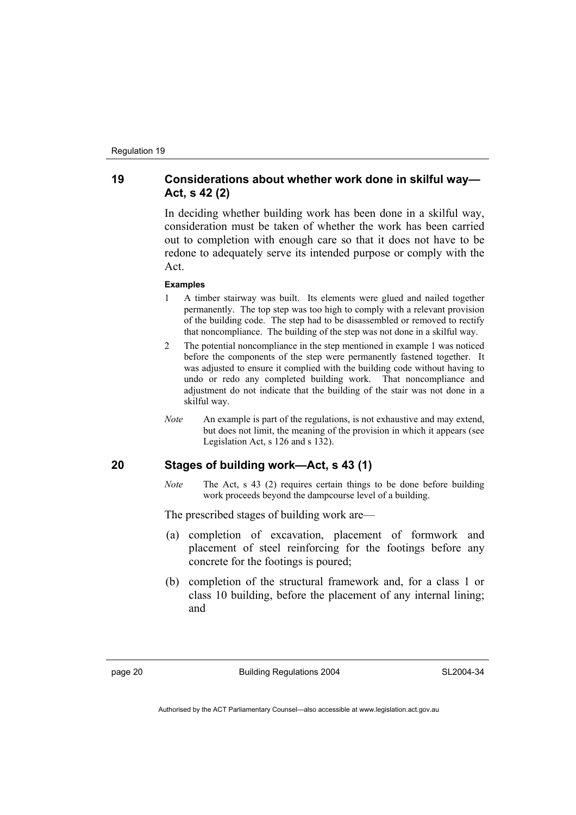#### **19 Considerations about whether work done in skilful way— Act, s 42 (2)**

In deciding whether building work has been done in a skilful way, consideration must be taken of whether the work has been carried out to completion with enough care so that it does not have to be redone to adequately serve its intended purpose or comply with the Act.

#### **Examples**

- 1 A timber stairway was built. Its elements were glued and nailed together permanently. The top step was too high to comply with a relevant provision of the building code. The step had to be disassembled or removed to rectify that noncompliance. The building of the step was not done in a skilful way.
- 2 The potential noncompliance in the step mentioned in example 1 was noticed before the components of the step were permanently fastened together. It was adjusted to ensure it complied with the building code without having to undo or redo any completed building work. That noncompliance and adjustment do not indicate that the building of the stair was not done in a skilful way.
- *Note* An example is part of the regulations, is not exhaustive and may extend, but does not limit, the meaning of the provision in which it appears (see Legislation Act, s 126 and s 132).

#### **20 Stages of building work—Act, s 43 (1)**

*Note* The Act, s 43 (2) requires certain things to be done before building work proceeds beyond the dampcourse level of a building.

The prescribed stages of building work are—

- (a) completion of excavation, placement of formwork and placement of steel reinforcing for the footings before any concrete for the footings is poured;
- (b) completion of the structural framework and, for a class 1 or class 10 building, before the placement of any internal lining; and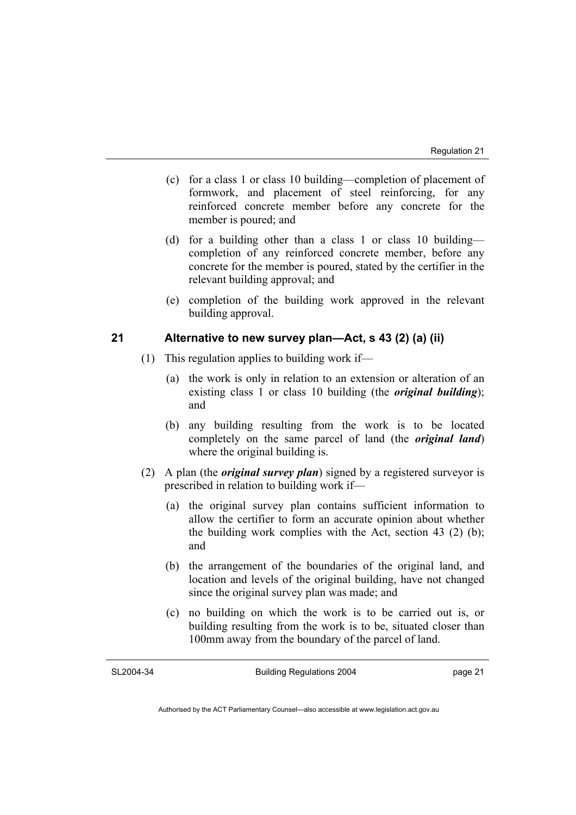- (c) for a class 1 or class 10 building—completion of placement of formwork, and placement of steel reinforcing, for any reinforced concrete member before any concrete for the member is poured; and
- (d) for a building other than a class 1 or class 10 building completion of any reinforced concrete member, before any concrete for the member is poured, stated by the certifier in the relevant building approval; and
- (e) completion of the building work approved in the relevant building approval.

#### **21 Alternative to new survey plan—Act, s 43 (2) (a) (ii)**

- (1) This regulation applies to building work if—
	- (a) the work is only in relation to an extension or alteration of an existing class 1 or class 10 building (the *original building*); and
	- (b) any building resulting from the work is to be located completely on the same parcel of land (the *original land*) where the original building is.
- (2) A plan (the *original survey plan*) signed by a registered surveyor is prescribed in relation to building work if—
	- (a) the original survey plan contains sufficient information to allow the certifier to form an accurate opinion about whether the building work complies with the Act, section 43 (2) (b); and
	- (b) the arrangement of the boundaries of the original land, and location and levels of the original building, have not changed since the original survey plan was made; and
	- (c) no building on which the work is to be carried out is, or building resulting from the work is to be, situated closer than 100mm away from the boundary of the parcel of land.

SL2004-34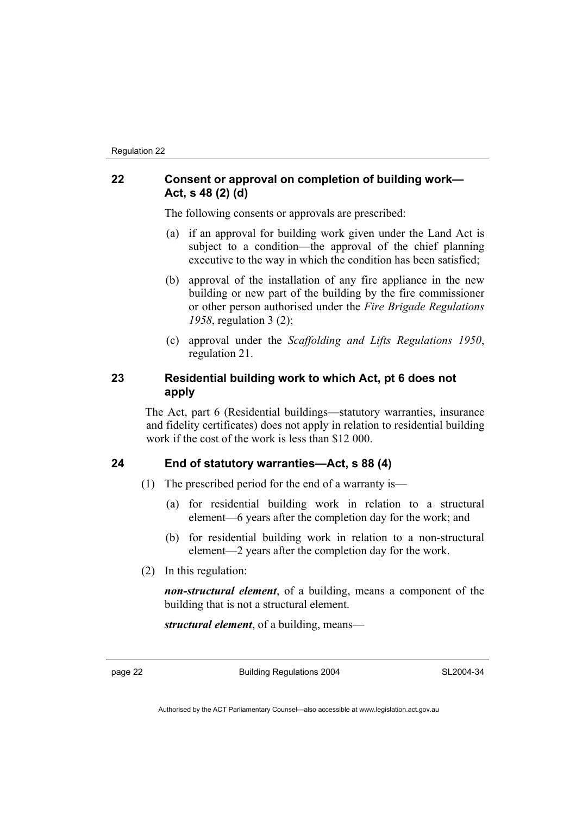#### **22 Consent or approval on completion of building work— Act, s 48 (2) (d)**

The following consents or approvals are prescribed:

- (a) if an approval for building work given under the Land Act is subject to a condition—the approval of the chief planning executive to the way in which the condition has been satisfied;
- (b) approval of the installation of any fire appliance in the new building or new part of the building by the fire commissioner or other person authorised under the *Fire Brigade Regulations 1958*, regulation 3 (2);
- (c) approval under the *Scaffolding and Lifts Regulations 1950*, regulation 21.

#### **23 Residential building work to which Act, pt 6 does not apply**

The Act, part 6 (Residential buildings—statutory warranties, insurance and fidelity certificates) does not apply in relation to residential building work if the cost of the work is less than \$12 000.

#### **24 End of statutory warranties—Act, s 88 (4)**

- (1) The prescribed period for the end of a warranty is—
	- (a) for residential building work in relation to a structural element—6 years after the completion day for the work; and
	- (b) for residential building work in relation to a non-structural element—2 years after the completion day for the work.
- (2) In this regulation:

*non-structural element*, of a building, means a component of the building that is not a structural element.

*structural element*, of a building, means—

page 22 Building Regulations 2004

SL2004-34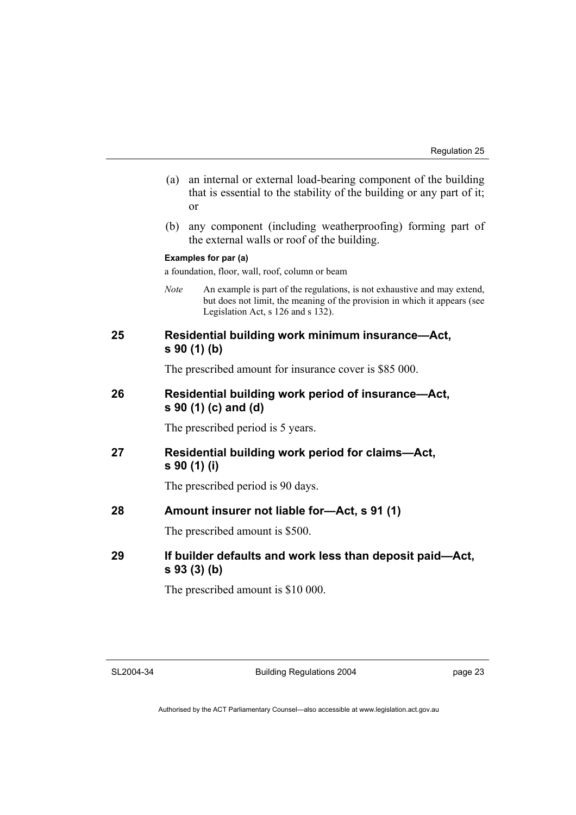- (a) an internal or external load-bearing component of the building that is essential to the stability of the building or any part of it; or
- (b) any component (including weatherproofing) forming part of the external walls or roof of the building.

#### **Examples for par (a)**

a foundation, floor, wall, roof, column or beam

*Note* An example is part of the regulations, is not exhaustive and may extend, but does not limit, the meaning of the provision in which it appears (see Legislation Act, s 126 and s 132).

#### **25 Residential building work minimum insurance—Act, s 90 (1) (b)**

The prescribed amount for insurance cover is \$85 000.

#### **26 Residential building work period of insurance—Act, s 90 (1) (c) and (d)**

The prescribed period is 5 years.

**27 Residential building work period for claims—Act, s 90 (1) (i)** 

The prescribed period is 90 days.

#### **28 Amount insurer not liable for—Act, s 91 (1)**

The prescribed amount is \$500.

**29 If builder defaults and work less than deposit paid—Act, s 93 (3) (b)** 

The prescribed amount is \$10 000.

SL2004-34

Building Regulations 2004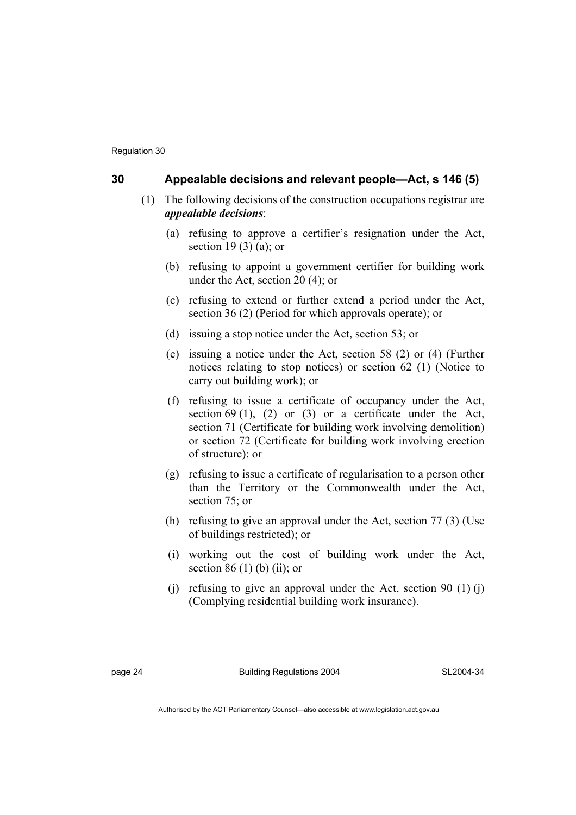#### **30 Appealable decisions and relevant people—Act, s 146 (5)**

- (1) The following decisions of the construction occupations registrar are *appealable decisions*:
	- (a) refusing to approve a certifier's resignation under the Act, section 19 (3) (a); or
	- (b) refusing to appoint a government certifier for building work under the Act, section 20 (4); or
	- (c) refusing to extend or further extend a period under the Act, section 36 (2) (Period for which approvals operate); or
	- (d) issuing a stop notice under the Act, section 53; or
	- (e) issuing a notice under the Act, section 58 (2) or (4) (Further notices relating to stop notices) or section 62 (1) (Notice to carry out building work); or
	- (f) refusing to issue a certificate of occupancy under the Act, section  $69$  (1), (2) or (3) or a certificate under the Act, section 71 (Certificate for building work involving demolition) or section 72 (Certificate for building work involving erection of structure); or
	- (g) refusing to issue a certificate of regularisation to a person other than the Territory or the Commonwealth under the Act, section 75; or
	- (h) refusing to give an approval under the Act, section 77 (3) (Use of buildings restricted); or
	- (i) working out the cost of building work under the Act, section  $86(1)$  (b) (ii); or
	- (i) refusing to give an approval under the Act, section 90  $(1)$  (i) (Complying residential building work insurance).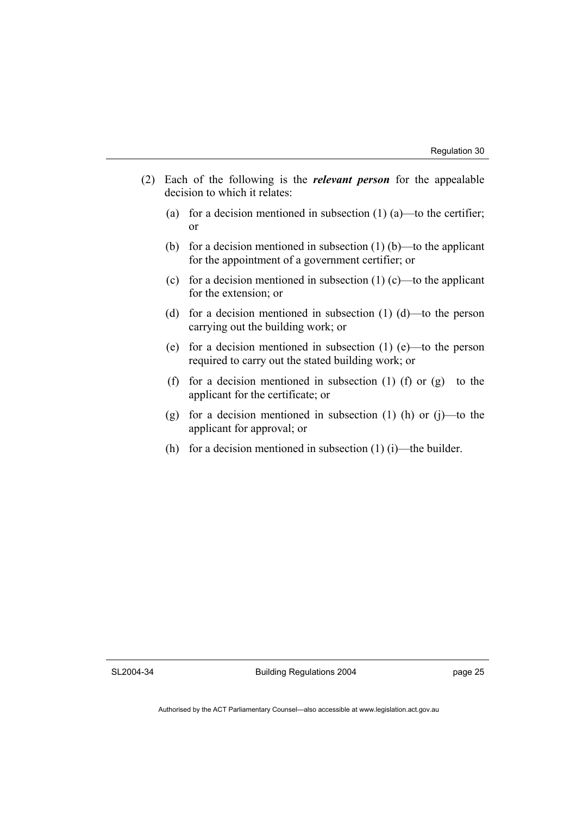- (2) Each of the following is the *relevant person* for the appealable decision to which it relates:
	- (a) for a decision mentioned in subsection  $(1)$   $(a)$ —to the certifier; or
	- (b) for a decision mentioned in subsection  $(1)$  (b)—to the applicant for the appointment of a government certifier; or
	- (c) for a decision mentioned in subsection  $(1)$  (c)—to the applicant for the extension; or
	- (d) for a decision mentioned in subsection (1) (d)—to the person carrying out the building work; or
	- (e) for a decision mentioned in subsection (1) (e)—to the person required to carry out the stated building work; or
	- (f) for a decision mentioned in subsection (1) (f) or  $(g)$ —to the applicant for the certificate; or
	- (g) for a decision mentioned in subsection  $(1)$  (h) or  $(i)$ —to the applicant for approval; or
	- (h) for a decision mentioned in subsection  $(1)$  (i)—the builder.

SL2004-34

Building Regulations 2004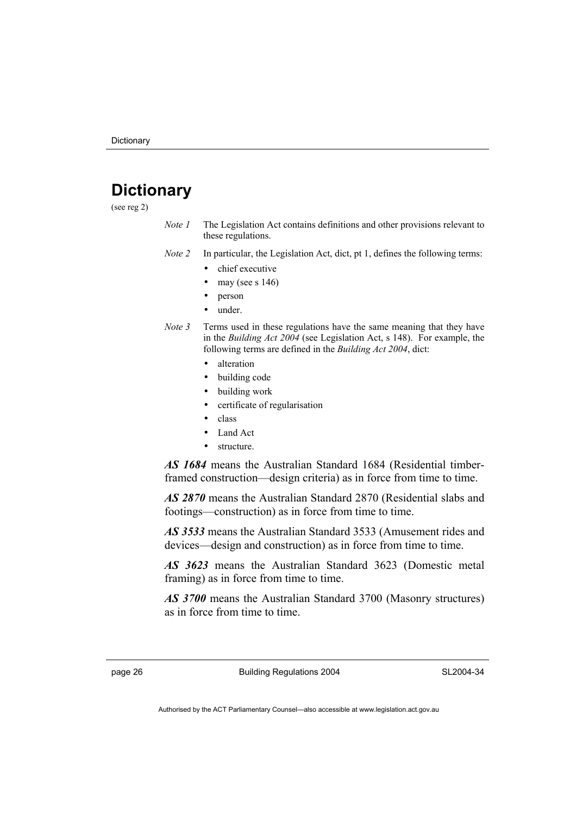## **Dictionary**

(see reg 2)

*Note 1* The Legislation Act contains definitions and other provisions relevant to these regulations.

*Note 2* In particular, the Legislation Act, dict, pt 1, defines the following terms:

- chief executive
- may (see s  $146$ )
- person
- under.
- *Note 3* Terms used in these regulations have the same meaning that they have in the *Building Act 2004* (see Legislation Act, s 148). For example, the following terms are defined in the *Building Act 2004*, dict:
	- alteration
	- building code
	- building work
	- certificate of regularisation
	- class
	- Land Act
	- structure.

*AS 1684* means the Australian Standard 1684 (Residential timberframed construction—design criteria) as in force from time to time.

*AS 2870* means the Australian Standard 2870 (Residential slabs and footings—construction) as in force from time to time.

*AS 3533* means the Australian Standard 3533 (Amusement rides and devices—design and construction) as in force from time to time.

*AS 3623* means the Australian Standard 3623 (Domestic metal framing) as in force from time to time.

*AS 3700* means the Australian Standard 3700 (Masonry structures) as in force from time to time.

page 26 **Building Regulations 2004**